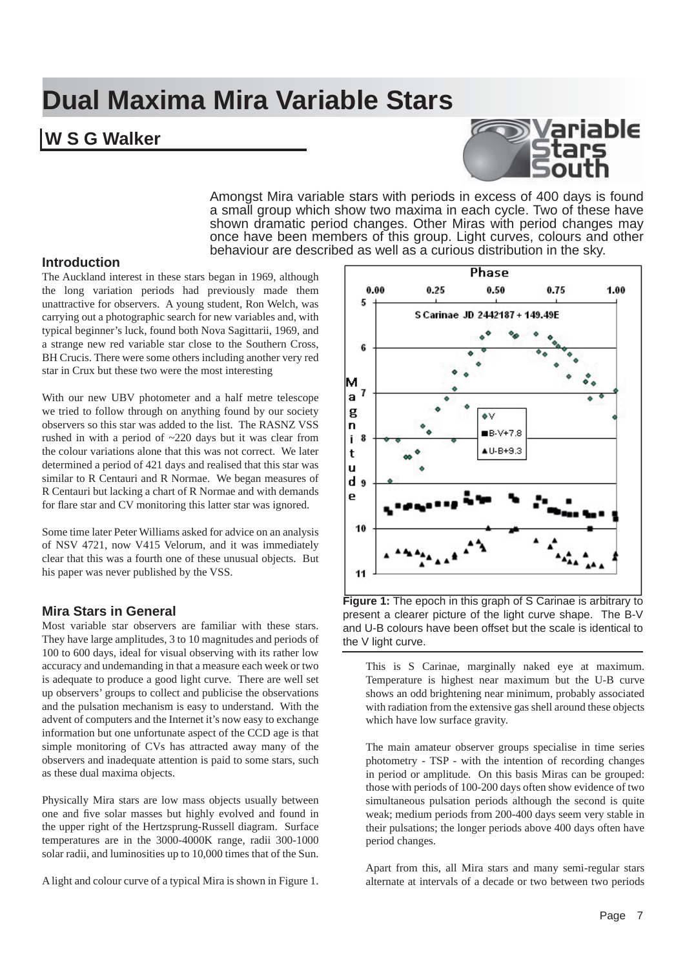# **Dual Maxima Mira Variable Stars**

# **W S G Walker**



Amongst Mira variable stars with periods in excess of 400 days is found a small group which show two maxima in each cycle. Two of these have shown dramatic period changes. Other Miras with period changes may once have been members of this group. Light curves, colours and other behaviour are described as well as a curious distribution in the sky.

#### **Introduction**

The Auckland interest in these stars began in 1969, although the long variation periods had previously made them unattractive for observers. A young student, Ron Welch, was carrying out a photographic search for new variables and, with typical beginner's luck, found both Nova Sagittarii, 1969, and a strange new red variable star close to the Southern Cross, BH Crucis. There were some others including another very red star in Crux but these two were the most interesting

With our new UBV photometer and a half metre telescope we tried to follow through on anything found by our society observers so this star was added to the list. The RASNZ VSS rushed in with a period of ~220 days but it was clear from the colour variations alone that this was not correct. We later determined a period of 421 days and realised that this star was similar to R Centauri and R Normae. We began measures of R Centauri but lacking a chart of R Normae and with demands for flare star and CV monitoring this latter star was ignored.

Some time later Peter Williams asked for advice on an analysis of NSV 4721, now V415 Velorum, and it was immediately clear that this was a fourth one of these unusual objects. But his paper was never published by the VSS.

#### **Mira Stars in General**

Most variable star observers are familiar with these stars. They have large amplitudes, 3 to 10 magnitudes and periods of 100 to 600 days, ideal for visual observing with its rather low accuracy and undemanding in that a measure each week or two is adequate to produce a good light curve. There are well set up observers' groups to collect and publicise the observations and the pulsation mechanism is easy to understand. With the advent of computers and the Internet it's now easy to exchange information but one unfortunate aspect of the CCD age is that simple monitoring of CVs has attracted away many of the observers and inadequate attention is paid to some stars, such as these dual maxima objects.

Physically Mira stars are low mass objects usually between one and five solar masses but highly evolved and found in the upper right of the Hertzsprung-Russell diagram. Surface temperatures are in the 3000-4000K range, radii 300-1000 solar radii, and luminosities up to 10,000 times that of the Sun.

A light and colour curve of a typical Mira is shown in Figure 1.



**Figure 1:** The epoch in this graph of S Carinae is arbitrary to present a clearer picture of the light curve shape. The B-V and U-B colours have been offset but the scale is identical to the V light curve.

This is S Carinae, marginally naked eye at maximum. Temperature is highest near maximum but the U-B curve shows an odd brightening near minimum, probably associated with radiation from the extensive gas shell around these objects which have low surface gravity.

The main amateur observer groups specialise in time series photometry - TSP - with the intention of recording changes in period or amplitude. On this basis Miras can be grouped: those with periods of 100-200 days often show evidence of two simultaneous pulsation periods although the second is quite weak; medium periods from 200-400 days seem very stable in their pulsations; the longer periods above 400 days often have period changes.

Apart from this, all Mira stars and many semi-regular stars alternate at intervals of a decade or two between two periods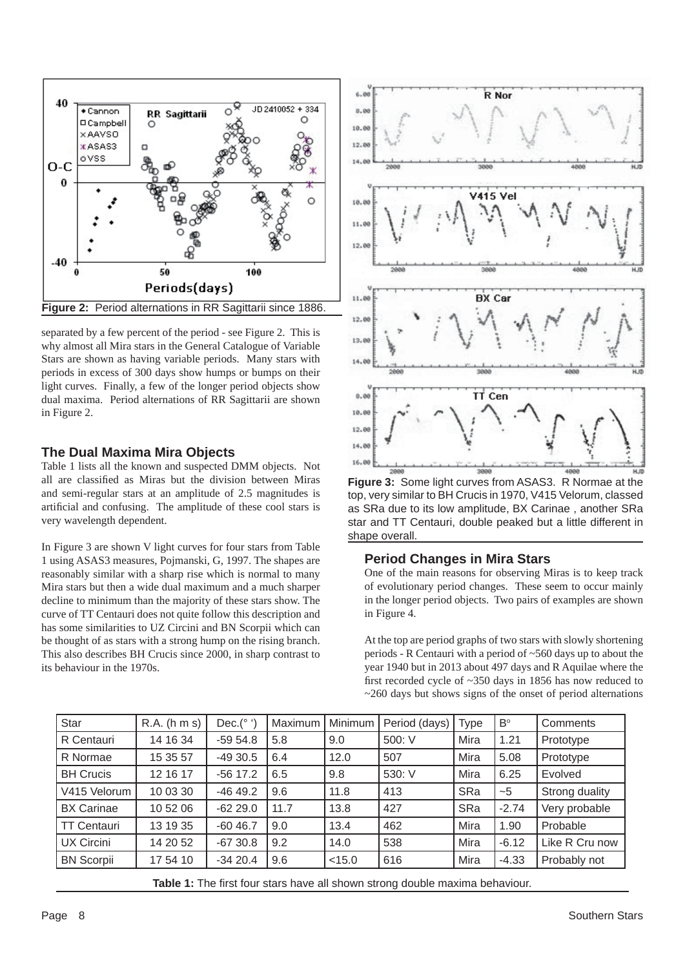

separated by a few percent of the period - see Figure 2. This is why almost all Mira stars in the General Catalogue of Variable Stars are shown as having variable periods. Many stars with periods in excess of 300 days show humps or bumps on their light curves. Finally, a few of the longer period objects show dual maxima. Period alternations of RR Sagittarii are shown in Figure 2.

### **The Dual Maxima Mira Objects**

Table 1 lists all the known and suspected DMM objects. Not all are classified as Miras but the division between Miras and semi-regular stars at an amplitude of 2.5 magnitudes is artificial and confusing. The amplitude of these cool stars is very wavelength dependent.

In Figure 3 are shown V light curves for four stars from Table 1 using ASAS3 measures, Pojmanski, G, 1997. The shapes are reasonably similar with a sharp rise which is normal to many Mira stars but then a wide dual maximum and a much sharper decline to minimum than the majority of these stars show. The curve of TT Centauri does not quite follow this description and has some similarities to UZ Circini and BN Scorpii which can be thought of as stars with a strong hump on the rising branch. This also describes BH Crucis since 2000, in sharp contrast to its behaviour in the 1970s.



**Figure 3:** Some light curves from ASAS3. R Normae at the top, very similar to BH Crucis in 1970, V415 Velorum, classed as SRa due to its low amplitude, BX Carinae , another SRa star and TT Centauri, double peaked but a little different in shape overall.

## **Period Changes in Mira Stars**

One of the main reasons for observing Miras is to keep track of evolutionary period changes. These seem to occur mainly in the longer period objects. Two pairs of examples are shown in Figure 4.

At the top are period graphs of two stars with slowly shortening periods - R Centauri with a period of ~560 days up to about the year 1940 but in 2013 about 497 days and R Aquilae where the first recorded cycle of  $\sim$ 350 days in 1856 has now reduced to  $\approx$  260 days but shows signs of the onset of period alternations

| Star               | $R.A.$ (h m s) | Dec.(°')   | Maximum | Minimum | Period (days) | Type | $B^{\circ}$ | Comments       |
|--------------------|----------------|------------|---------|---------|---------------|------|-------------|----------------|
| R Centauri         | 14 16 34       | $-5954.8$  | 5.8     | 9.0     | 500: V        | Mira | 1.21        | Prototype      |
| R Normae           | 15 35 57       | $-4930.5$  | 6.4     | 12.0    | 507           | Mira | 5.08        | Prototype      |
| <b>BH Crucis</b>   | 12 16 17       | $-56$ 17.2 | 6.5     | 9.8     | 530: V        | Mira | 6.25        | Evolved        |
| V415 Velorum       | 10 03 30       | $-4649.2$  | 9.6     | 11.8    | 413           | SRa  | ~1          | Strong duality |
| <b>BX Carinae</b>  | 10 52 06       | $-6229.0$  | 11.7    | 13.8    | 427           | SRa  | $-2.74$     | Very probable  |
| <b>TT Centauri</b> | 13 19 35       | $-6046.7$  | 9.0     | 13.4    | 462           | Mira | 1.90        | Probable       |
| UX Circini         | 14 20 52       | $-6730.8$  | 9.2     | 14.0    | 538           | Mira | $-6.12$     | Like R Cru now |
| <b>BN Scorpii</b>  | 17 54 10       | $-3420.4$  | 9.6     | < 15.0  | 616           | Mira | $-4.33$     | Probably not   |

Table 1: The first four stars have all shown strong double maxima behaviour.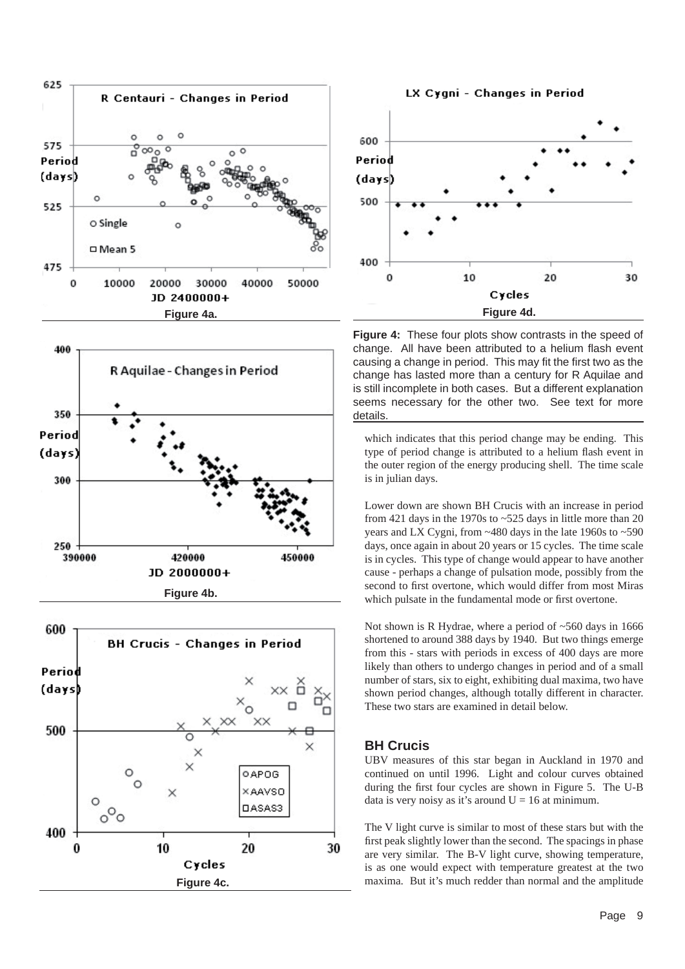





LX Cygni - Changes in Period



**Figure 4:** These four plots show contrasts in the speed of change. All have been attributed to a helium flash event causing a change in period. This may fit the first two as the change has lasted more than a century for R Aquilae and is still incomplete in both cases. But a different explanation seems necessary for the other two. See text for more details.

which indicates that this period change may be ending. This type of period change is attributed to a helium flash event in the outer region of the energy producing shell. The time scale is in julian days.

Lower down are shown BH Crucis with an increase in period from 421 days in the 1970s to ~525 days in little more than 20 years and LX Cygni, from ~480 days in the late 1960s to ~590 days, once again in about 20 years or 15 cycles. The time scale is in cycles. This type of change would appear to have another cause - perhaps a change of pulsation mode, possibly from the second to first overtone, which would differ from most Miras which pulsate in the fundamental mode or first overtone.

Not shown is R Hydrae, where a period of  $\sim$ 560 days in 1666 shortened to around 388 days by 1940. But two things emerge from this - stars with periods in excess of 400 days are more likely than others to undergo changes in period and of a small number of stars, six to eight, exhibiting dual maxima, two have shown period changes, although totally different in character. These two stars are examined in detail below.

#### **BH Crucis**

UBV measures of this star began in Auckland in 1970 and continued on until 1996. Light and colour curves obtained during the first four cycles are shown in Figure 5. The U-B data is very noisy as it's around  $U = 16$  at minimum.

The V light curve is similar to most of these stars but with the first peak slightly lower than the second. The spacings in phase are very similar. The B-V light curve, showing temperature, is as one would expect with temperature greatest at the two maxima. But it's much redder than normal and the amplitude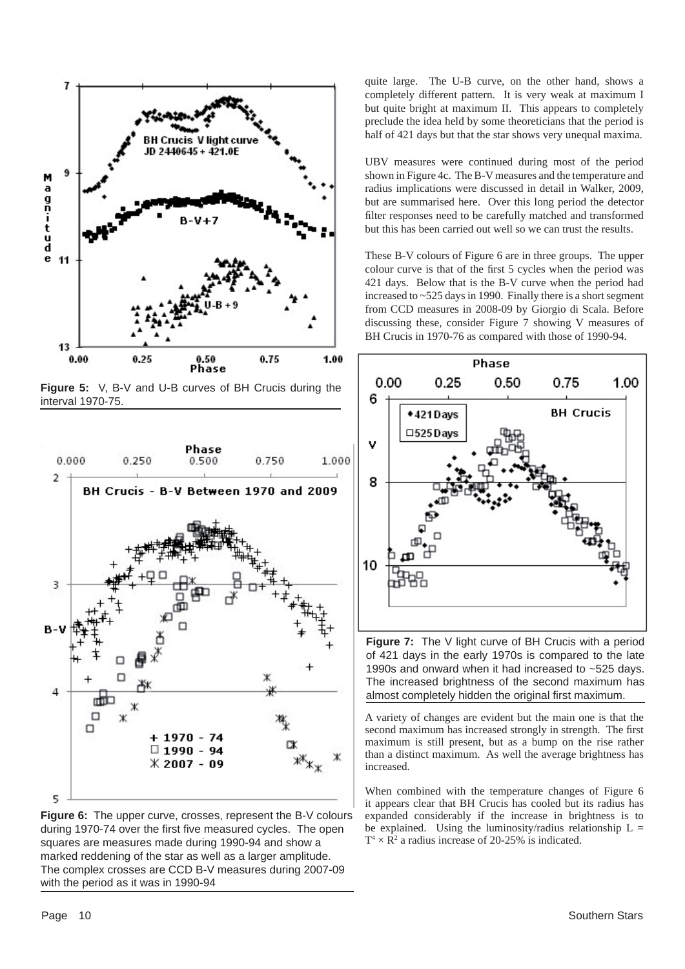

**Figure 5:** V, B-V and U-B curves of BH Crucis during the interval 1970-75.



**Figure 6:** The upper curve, crosses, represent the B-V colours during 1970-74 over the first five measured cycles. The open squares are measures made during 1990-94 and show a marked reddening of the star as well as a larger amplitude. The complex crosses are CCD B-V measures during 2007-09 with the period as it was in 1990-94

quite large. The U-B curve, on the other hand, shows a completely different pattern. It is very weak at maximum I but quite bright at maximum II. This appears to completely preclude the idea held by some theoreticians that the period is half of 421 days but that the star shows very unequal maxima.

UBV measures were continued during most of the period shown in Figure 4c. The B-V measures and the temperature and radius implications were discussed in detail in Walker, 2009, but are summarised here. Over this long period the detector filter responses need to be carefully matched and transformed but this has been carried out well so we can trust the results.

These B-V colours of Figure 6 are in three groups. The upper colour curve is that of the first 5 cycles when the period was 421 days. Below that is the B-V curve when the period had increased to ~525 days in 1990. Finally there is a short segment from CCD measures in 2008-09 by Giorgio di Scala. Before discussing these, consider Figure 7 showing V measures of BH Crucis in 1970-76 as compared with those of 1990-94.



**Figure 7:** The V light curve of BH Crucis with a period of 421 days in the early 1970s is compared to the late 1990s and onward when it had increased to ~525 days. The increased brightness of the second maximum has almost completely hidden the original first maximum.

A variety of changes are evident but the main one is that the second maximum has increased strongly in strength. The first maximum is still present, but as a bump on the rise rather than a distinct maximum. As well the average brightness has increased.

When combined with the temperature changes of Figure 6 it appears clear that BH Crucis has cooled but its radius has expanded considerably if the increase in brightness is to be explained. Using the luminosity/radius relationship  $L =$  $T^4 \times R^2$  a radius increase of 20-25% is indicated.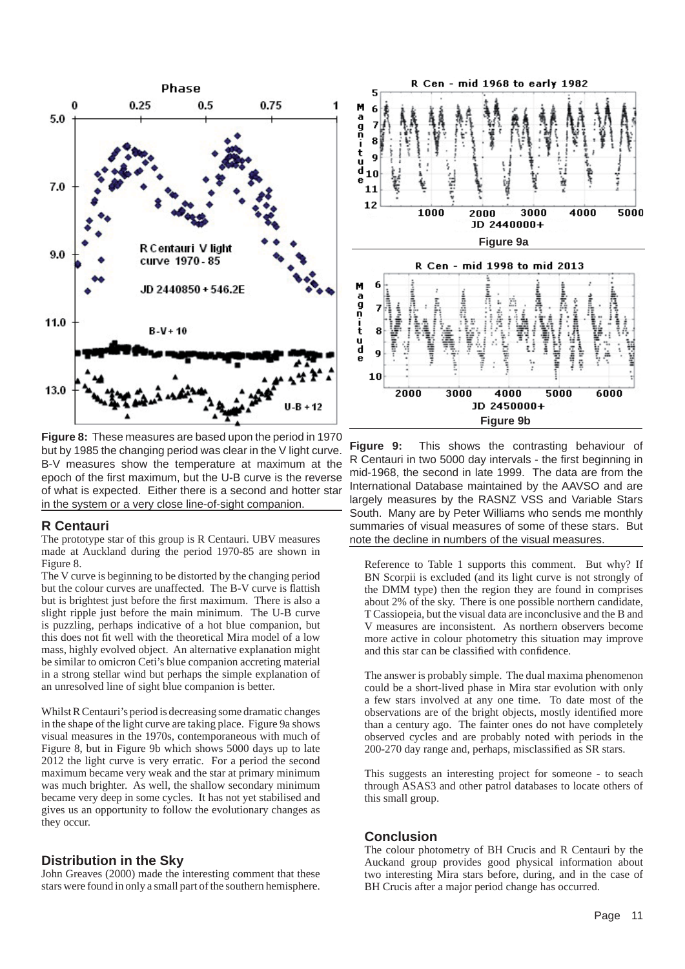

**Figure 8:** These measures are based upon the period in 1970 but by 1985 the changing period was clear in the V light curve. B-V measures show the temperature at maximum at the epoch of the first maximum, but the U-B curve is the reverse of what is expected. Either there is a second and hotter star in the system or a very close line-of-sight companion.

#### **R Centauri**

The prototype star of this group is R Centauri. UBV measures made at Auckland during the period 1970-85 are shown in Figure 8.

The V curve is beginning to be distorted by the changing period but the colour curves are unaffected. The B-V curve is flattish but is brightest just before the first maximum. There is also a slight ripple just before the main minimum. The U-B curve is puzzling, perhaps indicative of a hot blue companion, but this does not fit well with the theoretical Mira model of a low mass, highly evolved object. An alternative explanation might be similar to omicron Ceti's blue companion accreting material in a strong stellar wind but perhaps the simple explanation of an unresolved line of sight blue companion is better.

Whilst R Centauri's period is decreasing some dramatic changes in the shape of the light curve are taking place. Figure 9a shows visual measures in the 1970s, contemporaneous with much of Figure 8, but in Figure 9b which shows 5000 days up to late 2012 the light curve is very erratic. For a period the second maximum became very weak and the star at primary minimum was much brighter. As well, the shallow secondary minimum became very deep in some cycles. It has not yet stabilised and gives us an opportunity to follow the evolutionary changes as they occur.

#### **Distribution in the Sky**

John Greaves (2000) made the interesting comment that these stars were found in only a small part of the southern hemisphere.



**Figure 9:** This shows the contrasting behaviour of R Centauri in two 5000 day intervals - the first beginning in mid-1968, the second in late 1999. The data are from the International Database maintained by the AAVSO and are largely measures by the RASNZ VSS and Variable Stars South. Many are by Peter Williams who sends me monthly summaries of visual measures of some of these stars. But note the decline in numbers of the visual measures.

Reference to Table 1 supports this comment. But why? If BN Scorpii is excluded (and its light curve is not strongly of the DMM type) then the region they are found in comprises about 2% of the sky. There is one possible northern candidate, T Cassiopeia, but the visual data are inconclusive and the B and V measures are inconsistent. As northern observers become more active in colour photometry this situation may improve and this star can be classified with confidence.

The answer is probably simple. The dual maxima phenomenon could be a short-lived phase in Mira star evolution with only a few stars involved at any one time. To date most of the observations are of the bright objects, mostly identified more than a century ago. The fainter ones do not have completely observed cycles and are probably noted with periods in the 200-270 day range and, perhaps, misclassified as SR stars.

This suggests an interesting project for someone - to seach through ASAS3 and other patrol databases to locate others of this small group.

#### **Conclusion**

The colour photometry of BH Crucis and R Centauri by the Auckand group provides good physical information about two interesting Mira stars before, during, and in the case of BH Crucis after a major period change has occurred.